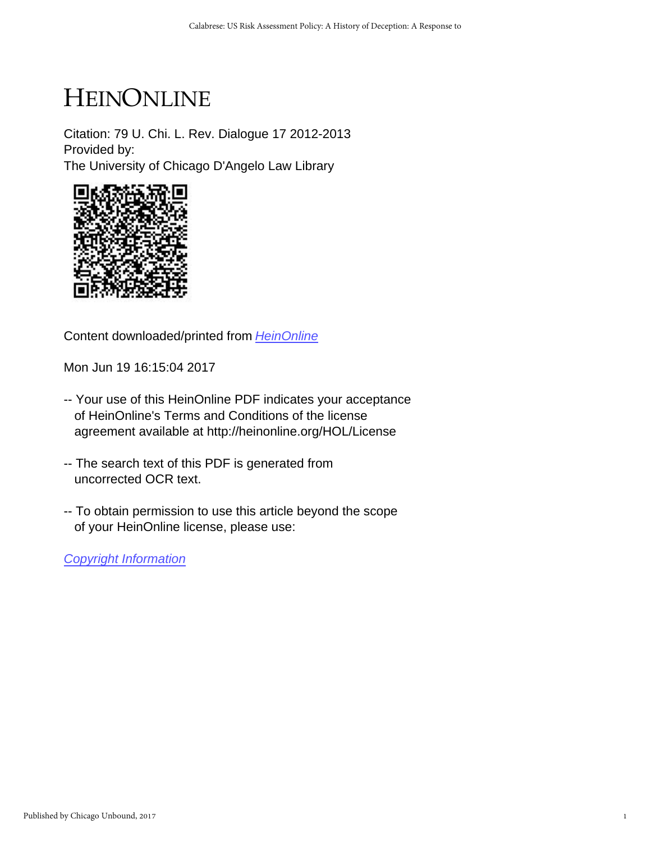# HEINONLINE

Citation: 79 U. Chi. L. Rev. Dialogue 17 2012-2013 Provided by: The University of Chicago D'Angelo Law Library



Content downloaded/printed from [HeinOnline](http://heinonline.org/HOL/Page?handle=hein.journals/uchidial79&collection=journals&id=17&startid=&endid=24)

Mon Jun 19 16:15:04 2017

- -- Your use of this HeinOnline PDF indicates your acceptance of HeinOnline's Terms and Conditions of the license agreement available at http://heinonline.org/HOL/License
- -- The search text of this PDF is generated from uncorrected OCR text.
- -- To obtain permission to use this article beyond the scope of your HeinOnline license, please use:

[Copyright Information](https://www.copyright.com/ccc/basicSearch.do?operation=go&searchType=0&lastSearch=simple&all=on&titleOrStdNo=0041-9494)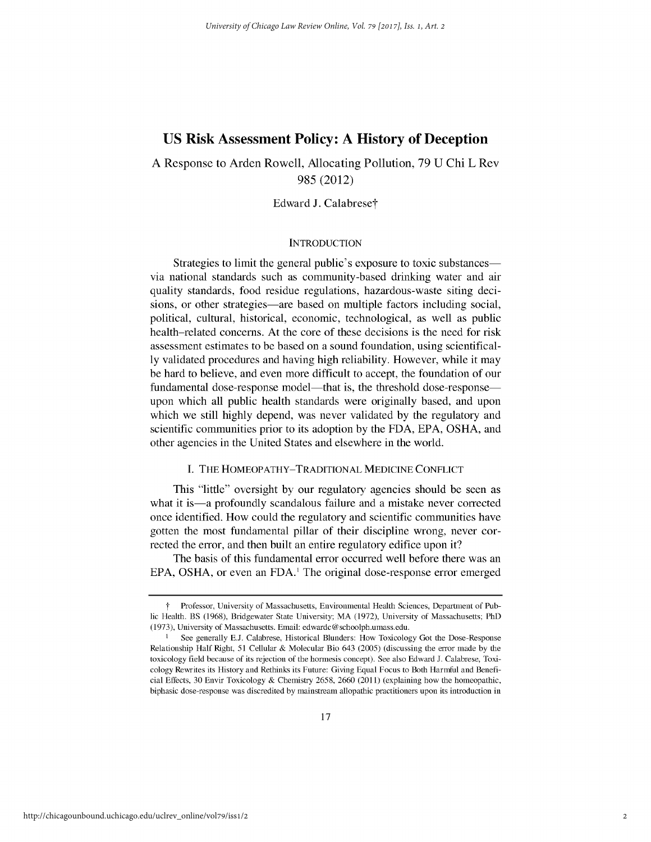# **US Risk Assessment Policy: A History of Deception**

A Response to Arden Rowell, Allocating Pollution, 79 U Chi L Rev 985 (2012)

Edward J. Calabrese†

## **INTRODUCTION**

Strategies to limit the general public's exposure to toxic substances via national standards such as community-based drinking water and air quality standards, food residue regulations, hazardous-waste siting decisions, or other strategies—are based on multiple factors including social, political, cultural, historical, economic, technological, as well as public health-related concerns. At the core of these decisions is the need for risk assessment estimates to be based on a sound foundation, using scientifically validated procedures and having high reliability. However, while it may be hard to believe, and even more difficult to accept, the foundation of our fundamental dose-response model—that is, the threshold dose-response upon which all public health standards were originally based, and upon which we still highly depend, was never validated by the regulatory and scientific communities prior to its adoption by the FDA, EPA, OSHA, and other agencies in the United States and elsewhere in the world.

### I. THE HOMEOPATHY-TRADITIONAL **MEDICINE CONFLICT**

This "little" oversight by our regulatory agencies should be seen as what it is—a profoundly scandalous failure and a mistake never corrected once identified. How could the regulatory and scientific communities have gotten the most fundamental pillar of their discipline wrong, never corrected the error, and then built an entire regulatory edifice upon it?

The basis of this fundamental error occurred well before there was an EPA, OSHA, or even an FDA.<sup>1</sup> The original dose-response error emerged

T Professor, University of Massachusetts, Environmental Health Sciences, Department of Public Health. BS (1968), Bridgewater State University; MA (1972), University of Massachusetts; PhD (1973), University of Massachusetts. Email: edwardc @ schoolph.umass.edu.

<sup>&</sup>lt;sup>1</sup> See generally E.J. Calabrese, Historical Blunders: How Toxicology Got the Dose-Response Relationship Half Right, 51 Cellular & Molecular Bio 643 (2005) (discussing the error made by the toxicology field because of its rejection of the hormesis concept). See also Edward J. Calabrese, Toxicology Rewrites its History and Rethinks its Future: Giving Equal Focus to Both Harmful and Beneficial Effects, 30 Envir Toxicology & Chemistry 2658, 2660 (2011) (explaining how the homeopathic, biphasic dose-response was discredited by mainstream allopathic practitioners upon its introduction in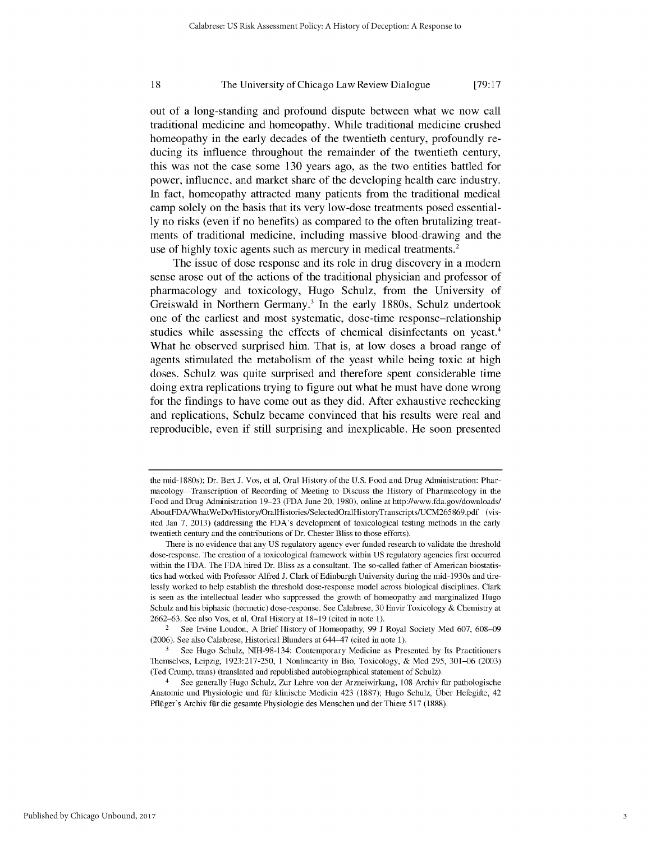#### 18 The University of Chicago Law Review Dialogue **[79:17**

out of a long-standing and profound dispute between what we now call traditional medicine and homeopathy. While traditional medicine crushed homeopathy in the early decades of the twentieth century, profoundly reducing its influence throughout the remainder of the twentieth century, this was not the case some **130** years ago, as the two entities battled for power, influence, and market share of the developing health care industry. In fact, homeopathy attracted many patients from the traditional medical camp solely on the basis that its very low-dose treatments posed essential**ly** no risks (even if no benefits) as compared to the often brutalizing treatments of traditional medicine, including massive blood-drawing and the use of highly toxic agents such as mercury in medical treatments.<sup>2</sup>

The issue of dose response and its role in drug discovery in a modern sense arose out of the actions of the traditional physician and professor of pharmacology and toxicology, Hugo Schulz, from the University of Greiswald in Northern Germany.3 In the early **1880s,** Schulz undertook one of the earliest and most systematic, dose-time response-relationship studies while assessing the effects of chemical disinfectants on yeast.<sup>4</sup> What he observed surprised him. That is, at low doses a broad range of agents stimulated the metabolism of the yeast while being toxic at high doses. Schulz was quite surprised and therefore spent considerable time doing extra replications trying to figure out what he must have done wrong for the findings to have come out as they did. After exhaustive rechecking and replications, Schulz became convinced that his results were real and reproducible, even if still surprising and inexplicable. He soon presented

the mid-1880s); Dr. Bert J. Vos, et al, Oral History of the U.S. Food and Drug Administration: Pharmacology Transcription of Recording of Meeting to Discuss the History of Pharmacology in the Food and Drug Administration 19-23 (FDA June 20, 1980), online at http://www.fda.gov/downloads/ AboutFDA/WhatWeDo/History/OralHistories/SelectedOralHistoryTranscriptsUCM265869.pdf (visited Jan 7, 2013) (addressing the FDA's development of toxicological testing methods in the early twentieth century and the contributions of Dr. Chester Bliss to those efforts).

There is no evidence that any US regulatory agency ever funded research to validate the threshold dose-response. The creation of a toxicological framework within US regulatory agencies first occurred within the FDA. The **FDA** hired Dr. Bliss as a consultant. The so-called father of American biostatistics had worked with Professor Alfred J. Clark of Edinburgh University during the mid- 1930s and tirelessly worked to help establish the threshold dose-response model across biological disciplines. Clark is seen as the intellectual leader who suppressed the growth of homeopathy and marginalized Hugo Schulz and his biphasic (hormetic) dose-response. See Calabrese, 30 Envir Toxicology & Chemistry at 2662–63. See also Vos, et al, Oral History at 18–19 (cited in note 1).

<sup>2</sup> See Irvine Loudon, A Brief History of Homeopathy, 99 J Royal Society Med 607, 608-09 (2006). See also Calabrese, Historical Blunders at 644-47 (cited in note 1).

**<sup>3</sup>** See Hugo Schulz, NIH-98-134: Contemporary Medicine as Presented **by** Its Practitioners Themselves, Leipzig, 1923:217-250, 1 Nonlinearity in Bio, Toxicology, & Med 295, 301-06 (2003) (Ted Crump, trans) (translated and republished autobiographical statement of Schulz).

See generally Hugo Schulz, Zur Lehre von der Arzneiwirkung, 108 Archiv für pathologische Anatomie und Physiologie und ftir klinische Medicin 423 (1887); Hugo Schulz, Uber Hefegifte, 42 Pflüger's Archiv für die gesamte Physiologie des Menschen und der Thiere 517 (1888).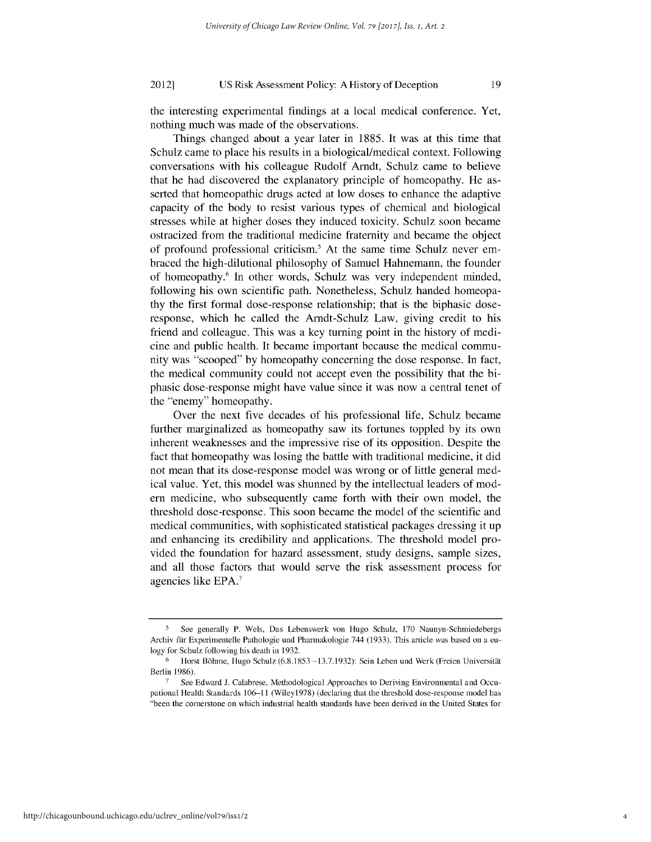#### US Risk Assessment Policy: A History of Deception 2012]

the interesting experimental findings at a local medical conference. Yet, nothing much was made of the observations.

19

Things changed about a year later in 1885. It was at this time that Schulz came to place his results in a biological/medical context. Following conversations with his colleague Rudolf Arndt, Schulz came to believe that he had discovered the explanatory principle of homeopathy. He asserted that homeopathic drugs acted at low doses to enhance the adaptive capacity of the body to resist various types of chemical and biological stresses while at higher doses they induced toxicity. Schulz soon became ostracized from the traditional medicine fraternity and became the object of profound professional criticism.5 At the same time Schulz never embraced the high-dilutional philosophy of Samuel Hahnemann, the founder of homeopathy.6 In other words, Schulz was very independent minded, following his own scientific path. Nonetheless, Schulz handed homeopathy the first formal dose-response relationship; that is the biphasic doseresponse, which he called the Arndt-Schulz Law, giving credit to his friend and colleague. This was a key turning point in the history of medicine and public health. It became important because the medical community was "scooped" by homeopathy concerning the dose response. In fact, the medical community could not accept even the possibility that the biphasic dose-response might have value since it was now a central tenet of the "enemy" homeopathy.

Over the next five decades of his professional life, Schulz became further marginalized as homeopathy saw its fortunes toppled by its own inherent weaknesses and the impressive rise of its opposition. Despite the fact that homeopathy was losing the battle with traditional medicine, it did not mean that its dose-response model was wrong or of little general medical value. Yet, this model was shunned by the intellectual leaders of modern medicine, who subsequently came forth with their own model, the threshold dose-response. This soon became the model of the scientific and medical communities, with sophisticated statistical packages dressing it up and enhancing its credibility and applications. The threshold model provided the foundation for hazard assessment, study designs, sample sizes, and all those factors that would serve the risk assessment process for agencies like EPA.7

**<sup>5</sup>** See generally P. Wels, Das Lebenswerk von Hugo Schulz, 170 Naunyn-Schmiedebergs Archiv für Experimentelle Pathologie und Pharmakologie 744 (1933). This article was based on a eulogy for Schulz following his death in 1932.

 $6$  Horst Böhme, Hugo Schulz (6.8.1853 -13.7.1932): Sein Leben und Werk (Freien Universität Berlin 1986).

See Edward J. Calabrese, Methodological Approaches to Deriving Environmental and Occupational Health Standards 106-11 (Wileyl978) (declaring that the threshold dose-response model has "been the cornerstone on which industrial health standards have been derived in the United States for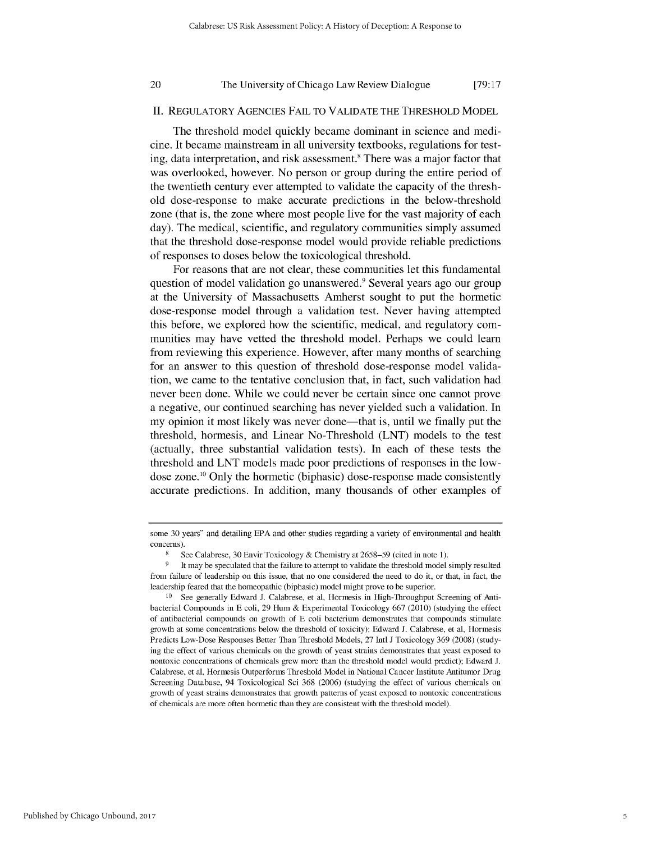#### 20

#### The University of Chicago Law Review Dialogue

**[79:17**

### II. REGULATORY AGENCIES **FAIL** TO VALIDATE THE THRESHOLD MODEL

The threshold model quickly became dominant in science and medicine. It became mainstream in all university textbooks, regulations for testing, data interpretation, and risk assessment.<sup>8</sup> There was a major factor that was overlooked, however. No person or group during the entire period of the twentieth century ever attempted to validate the capacity of the threshold dose-response to make accurate predictions in the below-threshold zone (that is, the zone where most people live for the vast majority of each day). The medical, scientific, and regulatory communities simply assumed that the threshold dose-response model would provide reliable predictions of responses to doses below the toxicological threshold.

For reasons that are not clear, these communities let this fundamental question of model validation go unanswered.<sup>9</sup> Several years ago our group at the University of Massachusetts Amherst sought to put the hormetic dose-response model through a validation test. Never having attempted this before, we explored how the scientific, medical, and regulatory communities may have vetted the threshold model. Perhaps we could learn from reviewing this experience. However, after many months of searching for an answer to this question of threshold dose-response model validation, we came to the tentative conclusion that, in fact, such validation had never been done. While we could never be certain since one cannot prove a negative, our continued searching has never yielded such a validation. In my opinion it most likely was never done—that is, until we finally put the threshold, hormesis, and Linear No-Threshold (LNT) models to the test (actually, three substantial validation tests). In each of these tests the threshold and LNT models made poor predictions of responses in the lowdose zone.10 Only the hormetic (biphasic) dose-response made consistently accurate predictions. In addition, many thousands of other examples of

some 30 years" and detailing EPA and other studies regarding a variety of environmental and health concerns).

**<sup>8</sup>** See Calabrese, 30 Envir Toxicology & Chemistry at 2658-59 (cited in note 1).

<sup>&</sup>lt;sup>9</sup> It may be speculated that the failure to attempt to validate the threshold model simply resulted from failure of leadership on this issue, that no one considered the need to do it, or that, in fact, the leadership feared that the homeopathic (biphasic) model might prove to be superior.

<sup>10</sup> See generally Edward J. Calabrese, et al, Hormesis in High-Throughput Screening of Antibacterial Compounds in E coli, 29 Hum & Experimental Toxicology 667 (2010) (studying the effect of antibacterial compounds on growth of E coli bacterium demonstrates that compounds stimulate growth at some concentrations below the threshold of toxicity); Edward J. Calabrese, et al, Hormesis Predicts Low-Dose Responses Better Than Threshold Models, 27 Intl J Toxicology 369 (2008) (studying the effect of various chemicals on the growth of yeast strains demonstrates that yeast exposed to nontoxic concentrations of chemicals grew more than the threshold model would predict); Edward J. Calabrese, et al, Hormesis Outperforms Threshold Model in National Cancer Institute Antitumor Drug Screening Database, 94 Toxicological Sci 368 (2006) (studying the effect of various chemicals on growth of yeast strains demonstrates that growth patterns of yeast exposed to nontoxic concentrations of chemicals are more often hormetic than they are consistent with the threshold model).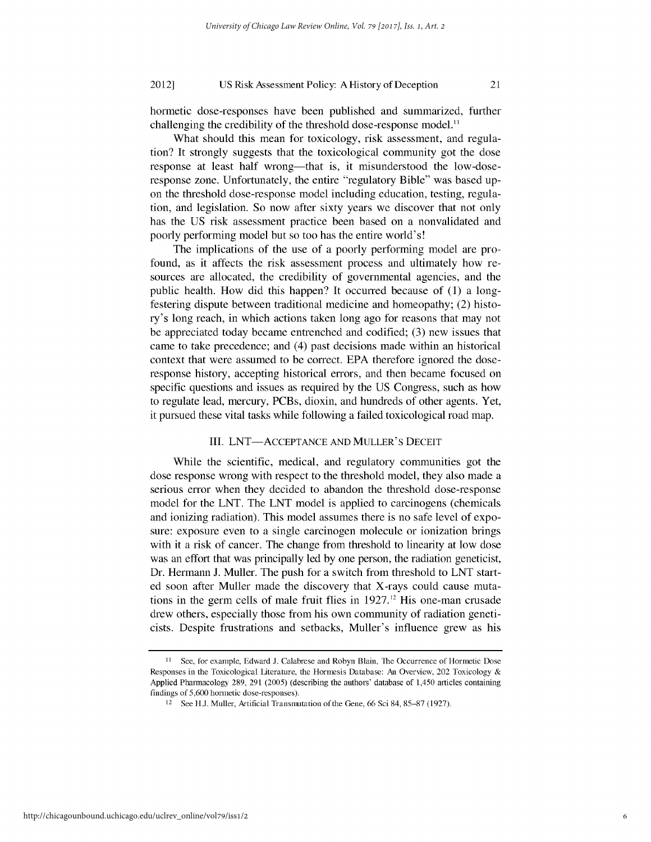#### US Risk Assessment Policy: A History of Deception 2012]

hormetic dose-responses have been published and summarized, further challenging the credibility of the threshold dose-response model.<sup>11</sup>

What should this mean for toxicology, risk assessment, and regulation? It strongly suggests that the toxicological community got the dose response at least half wrong—that is, it misunderstood the low-doseresponse zone. Unfortunately, the entire "regulatory Bible" was based upon the threshold dose-response model including education, testing, regulation, and legislation. So now after sixty years we discover that not only has the US risk assessment practice been based on a nonvalidated and poorly performing model but so too has the entire world's!

The implications of the use of a poorly performing model are profound, as it affects the risk assessment process and ultimately how resources are allocated, the credibility of governmental agencies, and the public health. How did this happen? It occurred because of (1) a longfestering dispute between traditional medicine and homeopathy; (2) history's long reach, in which actions taken long ago for reasons that may not be appreciated today became entrenched and codified; (3) new issues that came to take precedence; and (4) past decisions made within an historical context that were assumed to be correct. EPA therefore ignored the doseresponse history, accepting historical errors, and then became focused on specific questions and issues as required by the US Congress, such as how to regulate lead, mercury, PCBs, dioxin, and hundreds of other agents. Yet, it pursued these vital tasks while following a failed toxicological road map.

### III. LNT-ACCEPTANCE AND MULLER'S DECEIT

While the scientific, medical, and regulatory communities got the dose response wrong with respect to the threshold model, they also made a serious error when they decided to abandon the threshold dose-response model for the LNT. The LNT model is applied to carcinogens (chemicals and ionizing radiation). This model assumes there is no safe level of exposure: exposure even to a single carcinogen molecule or ionization brings with it a risk of cancer. The change from threshold to linearity at low dose was an effort that was principally led by one person, the radiation geneticist, Dr. Hermann J. Muller. The push for a switch from threshold to LNT started soon after Muller made the discovery that X-rays could cause mutations in the germ cells of male fruit flies in  $1927$ .<sup>12</sup> His one-man crusade drew others, especially those from his own community of radiation geneticists. Despite frustrations and setbacks, Muller's influence grew as his

<sup>11</sup> See, for example, Edward J. Calabrese and Robyn Blain, The Occurrence of Hormetic Dose Responses in the Toxicological Literature, the Hormesis Database: An Overview, 202 Toxicology & Applied Pharmacology 289, 291 (2005) (describing the authors' database of 1,450 articles containing findings of 5,600 hormetic dose-responses).

<sup>12</sup> See H.J. Muller, Artificial Transmutation of the Gene, 66 Sci 84, 85-87 (1927).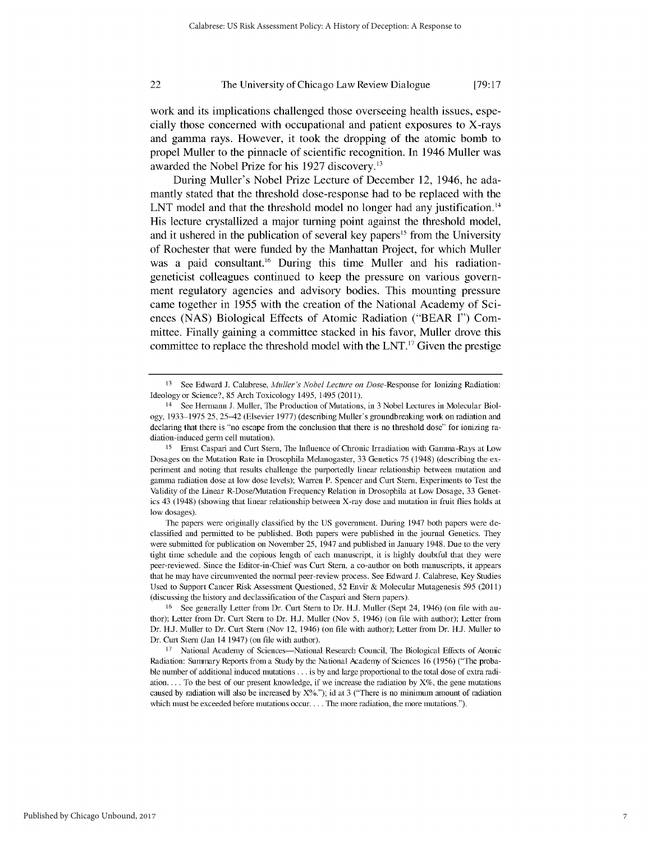#### 22 The University of Chicago Law Review Dialogue [79:17]

work and its implications challenged those overseeing health issues, especially those concerned with occupational and patient exposures to X-rays and gamma rays. However, it took the dropping of the atomic bomb to propel Muller to the pinnacle of scientific recognition. In 1946 Muller was awarded the Nobel Prize for his **1927** discovery.13

During Muller's Nobel Prize Lecture of December 12, 1946, he adamantly stated that the threshold dose-response had to be replaced with the LNT model and that the threshold model no longer had any justification.<sup>14</sup> His lecture crystallized a major turning point against the threshold model, and it ushered in the publication of several key papers<sup>15</sup> from the University of Rochester that were funded **by** the Manhattan Project, for which Muller was a paid consultant.<sup>16</sup> During this time Muller and his radiationgeneticist colleagues continued to keep the pressure on various government regulatory agencies and advisory bodies. This mounting pressure came together in **1955** with the creation of the National Academy of Sciences **(NAS)** Biological Effects of Atomic Radiation ("BEAR **I")** Committee. Finally gaining a committee stacked in his favor, Muller drove this committee to replace the threshold model with the **LNT. <sup>17</sup>**Given the prestige

<sup>13</sup> See Edward J. Calabrese, *Muller's Nobel Lecture on* Dose-Response for Ionizing Radiation: Ideology or Science?, 85 Arch Toxicology 1495, 1495 (2011).

<sup>14</sup> See Hermann J. Muller, The Production of Mutations, in 3 Nobel Lectures in Molecular Biology, 1933–1975 25, 25–42 (Elsevier 1977) (describing Muller's groundbreaking work on radiation and declaring that there is "no escape from the conclusion that there is no threshold dose" for ionizing radiation-induced germ cell mutation).

<sup>15</sup> Ernst Caspari and Curt Stern, The Influence of Chronic Irradiation with Gamma-Rays at Low Dosages on the Mutation Rate in Drosophila Melanogaster, 33 Genetics 75 (1948) (describing the experiment and noting that results challenge the purportedly linear relationship between mutation and gamma radiation dose at low dose levels); Warren P. Spencer and Curt Stern, Experiments to Test the Validity of the Linear R-Dose/Mutation Frequency Relation in Drosophila at Low Dosage, 33 Genetics 43 (1948) (showing that linear relationship between X-ray dose and mutation in fruit flies holds at low dosages).

The papers were originally classified by the US government. During 1947 both papers were declassified and permitted to be published. Both papers were published in the journal Genetics. They were submitted for publication on November 25, 1947 and published in January 1948. Due to the very tight time schedule and the copious length of each manuscript, it is highly doubtful that they were peer-reviewed. Since the Editor-in-Chief was Curt Stern, a co-author on both manuscripts, it appears that he may have circumvented the normal peer-review process. See Edward J. Calabrese, Key Studies Used to Support Cancer Risk Assessment Questioned, 52 Envir & Molecular Mutagenesis 595 (2011) (discussing the history and declassification of the Caspari and Stern papers).

<sup>16</sup> See generally Letter from Dr. Curt Stern to Dr. H.J. Muller (Sept 24, 1946) (on file with author); Letter from Dr. Curt Stern to Dr. H.J. Muller (Nov 5, 1946) (on file with author); Letter from Dr. H.J. Muller to Dr. Curt Stern (Nov 12, 1946) (on file with author); Letter from Dr. H.J. Muller to Dr. Curt Stern (Jan 14 1947) (on file with author).

<sup>&</sup>lt;sup>17</sup> National Academy of Sciences--National Research Council, The Biological Effects of Atomic Radiation: Sumnmary Reports from a Study by the National Academy of Sciences 16 (1956) ("The probable number of additional induced mutations.., is by and large proportional to the total dose of extra radiation.... To the best of our present knowledge, if we increase the radiation by  $X\%$ , the gene mutations caused by radiation will also be increased by  $X\frac{6}{2}$ ; id at 3 ("There is no minimum amount of radiation which must be exceeded before mutations occur.... The more radiation, the more mutations.").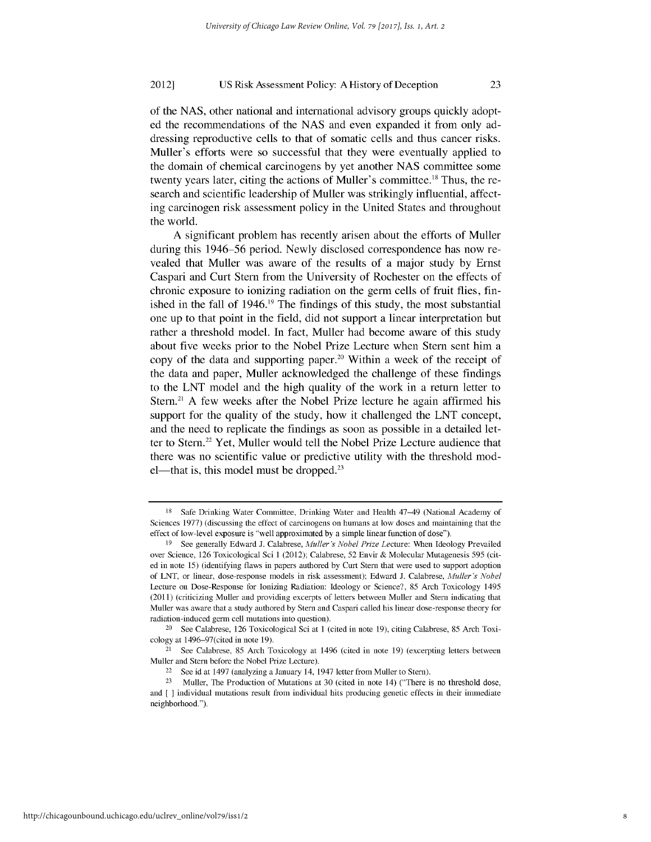#### US Risk Assessment Policy: A History of Deception 2012]

of the NAS, other national and international advisory groups quickly adopted the recommendations of the NAS and even expanded it from only addressing reproductive cells to that of somatic cells and thus cancer risks. Muller's efforts were so successful that they were eventually applied to the domain of chemical carcinogens by yet another NAS committee some twenty years later, citing the actions of Muller's committee.<sup>18</sup> Thus, the research and scientific leadership of Muller was strikingly influential, affecting carcinogen risk assessment policy in the United States and throughout the world.

A significant problem has recently arisen about the efforts of Muller during this 1946-56 period. Newly disclosed correspondence has now revealed that Muller was aware of the results of a major study by Ernst Caspari and Curt Stern from the University of Rochester on the effects of chronic exposure to ionizing radiation on the germ cells of fruit flies, finished in the fall of 1946.<sup>19</sup> The findings of this study, the most substantial one up to that point in the field, did not support a linear interpretation but rather a threshold model. In fact, Muller had become aware of this study about five weeks prior to the Nobel Prize Lecture when Stern sent him a copy of the data and supporting paper.<sup>20</sup> Within a week of the receipt of the data and paper, Muller acknowledged the challenge of these findings to the LNT model and the high quality of the work in a return letter to Stern.<sup>21</sup> A few weeks after the Nobel Prize lecture he again affirmed his support for the quality of the study, how it challenged the LNT concept, and the need to replicate the findings as soon as possible in a detailed letter to Stern.<sup>22</sup> Yet, Muller would tell the Nobel Prize Lecture audience that there was no scientific value or predictive utility with the threshold mod $el$ —that is, this model must be dropped.<sup>23</sup>

<sup>18</sup> Safe Drinking Water Committee, Drinking Water and Health 47-49 (National Academy of Sciences 1977) (discussing the effect of carcinogens on humans at low doses and maintaining that the effect of low-level exposure is "well approximated by a simple linear function of dose").

<sup>19</sup> See generally Edward J. Calabrese, *Muller's Nobel Prize* Lecture: When Ideology Prevailed over Science, 126 Toxicological Sci 1 (2012); Calabrese, 52 Envir & Molecular Mutagenesis 595 (cited in note 15) (identifying flaws in papers authored by Curt Stern that were used to support adoption of LNT, or linear, dose-response models in risk assessment); Edward J. Calabrese, *Muller's Nobel* Lecture on Dose-Response for Ionizing Radiation: Ideology or Science?, 85 Arch Toxicology 1495 (2011) (criticizing Muller and providing excerpts of letters between Muller and Stern indicating that Muller was aware that a study authored by Stern and Caspari called his linear dose-response theory for radiation -induced germ cell mutations into question).

<sup>20</sup> See Calabrese, 126 Toxicological Sci at 1 (cited in note 19), citing Calabrese, 85 Arch Toxicology at 1496-97(cited in note 19).

<sup>21</sup> See Calabrese, 85 Arch Toxicology at 1496 (cited in note 19) (excerpting letters between Muller and Stern before the Nobel Prize Lecture).

<sup>22</sup> See id at 1497 (analyzing a January 14, 1947 letter from Muller to Stern).

<sup>&</sup>lt;sup>23</sup> Muller, The Production of Mutations at 30 (cited in note 14) ("There is no threshold dose, and [ **]** individual mutations result from individual hits producing genetic effects in their immediate neighborhood.").